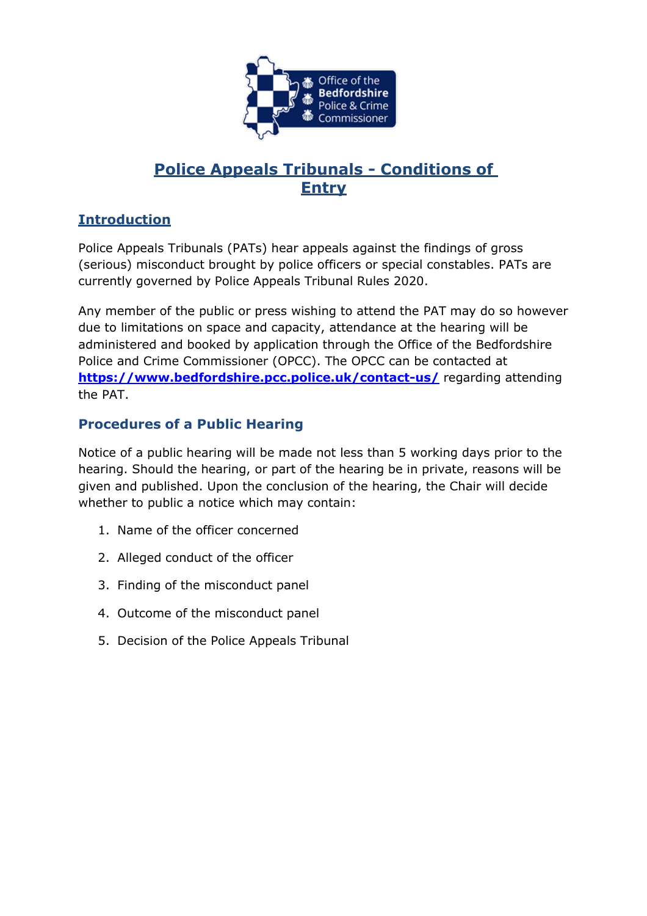

# **Police Appeals Tribunals - Conditions of Entry**

## **Introduction**

Police Appeals Tribunals (PATs) hear appeals against the findings of gross (serious) misconduct brought by police officers or special constables. PATs are currently governed by Police Appeals Tribunal Rules 2020.

Any member of the public or press wishing to attend the PAT may do so however due to limitations on space and capacity, attendance at the hearing will be administered and booked by application through the Office of the Bedfordshire Police and Crime Commissioner (OPCC). The OPCC can be contacted at **<https://www.bedfordshire.pcc.police.uk/contact-us/>** regarding attending the PAT.

## **Procedures of a Public Hearing**

Notice of a public hearing will be made not less than 5 working days prior to the hearing. Should the hearing, or part of the hearing be in private, reasons will be given and published. Upon the conclusion of the hearing, the Chair will decide whether to public a notice which may contain:

- 1. Name of the officer concerned
- 2. Alleged conduct of the officer
- 3. Finding of the misconduct panel
- 4. Outcome of the misconduct panel
- 5. Decision of the Police Appeals Tribunal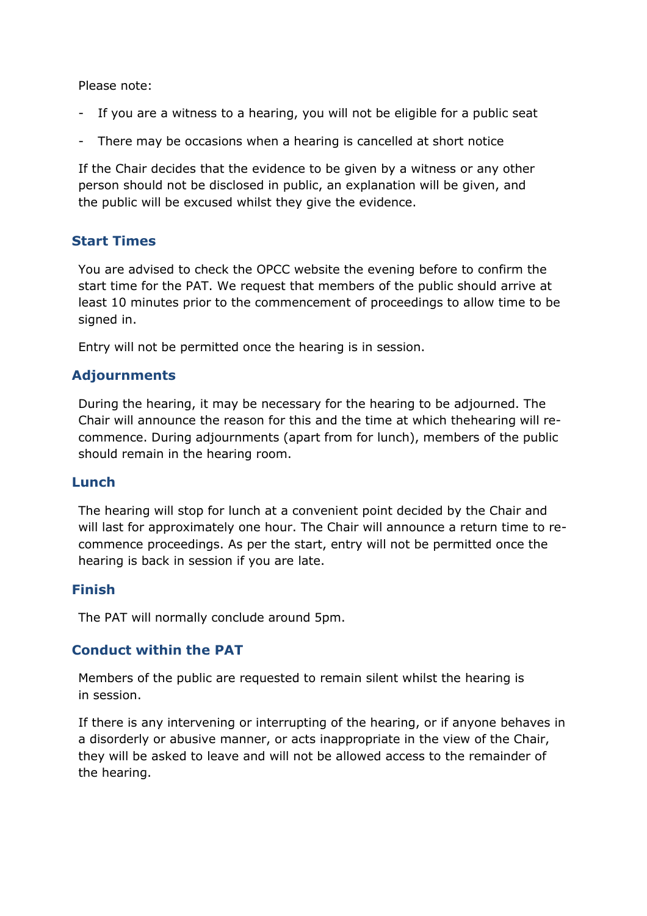Please note:

- If you are a witness to a hearing, you will not be eligible for a public seat
- There may be occasions when a hearing is cancelled at short notice

If the Chair decides that the evidence to be given by a witness or any other person should not be disclosed in public, an explanation will be given, and the public will be excused whilst they give the evidence.

## **Start Times**

You are advised to check the OPCC website the evening before to confirm the start time for the PAT. We request that members of the public should arrive at least 10 minutes prior to the commencement of proceedings to allow time to be signed in.

Entry will not be permitted once the hearing is in session.

### **Adjournments**

During the hearing, it may be necessary for the hearing to be adjourned. The Chair will announce the reason for this and the time at which thehearing will recommence. During adjournments (apart from for lunch), members of the public should remain in the hearing room.

#### **Lunch**

The hearing will stop for lunch at a convenient point decided by the Chair and will last for approximately one hour. The Chair will announce a return time to recommence proceedings. As per the start, entry will not be permitted once the hearing is back in session if you are late.

#### **Finish**

The PAT will normally conclude around 5pm.

### **Conduct within the PAT**

Members of the public are requested to remain silent whilst the hearing is in session.

If there is any intervening or interrupting of the hearing, or if anyone behaves in a disorderly or abusive manner, or acts inappropriate in the view of the Chair, they will be asked to leave and will not be allowed access to the remainder of the hearing.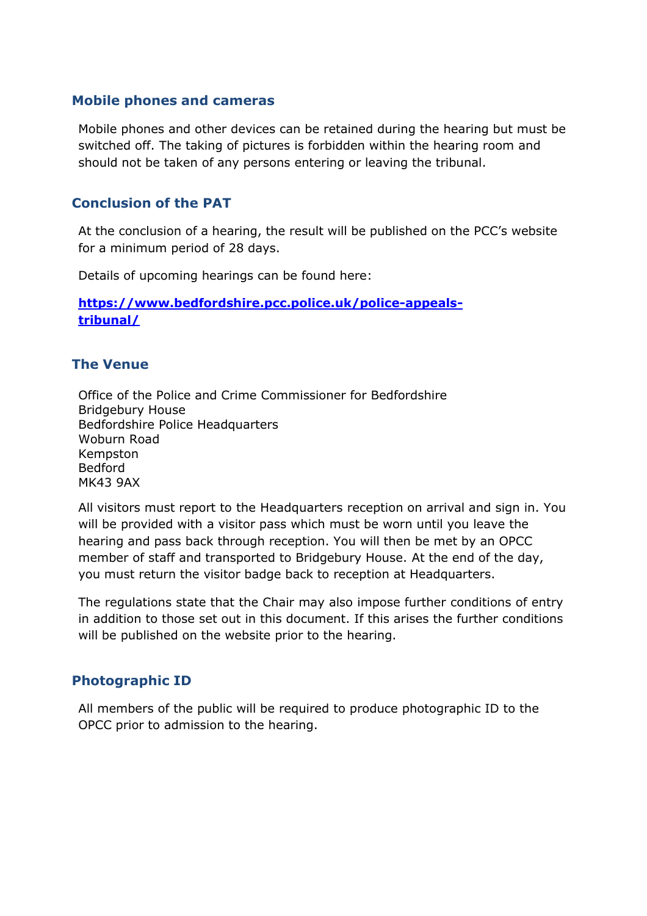#### **Mobile phones and cameras**

Mobile phones and other devices can be retained during the hearing but must be switched off. The taking of pictures is forbidden within the hearing room and should not be taken of any persons entering or leaving the tribunal.

### **Conclusion of the PAT**

At the conclusion of a hearing, the result will be published on the PCC's website for a minimum period of 28 days.

Details of upcoming hearings can be found here:

**[https://www.bedfordshire.pcc.police.uk/police-appeals](https://www.bedfordshire.pcc.police.uk/police-appeals-tribunal/)[tribunal/](https://www.bedfordshire.pcc.police.uk/police-appeals-tribunal/)**

#### **The Venue**

Office of the Police and Crime Commissioner for Bedfordshire Bridgebury House Bedfordshire Police Headquarters Woburn Road Kempston Bedford MK43 9AX

All visitors must report to the Headquarters reception on arrival and sign in. You will be provided with a visitor pass which must be worn until you leave the hearing and pass back through reception. You will then be met by an OPCC member of staff and transported to Bridgebury House. At the end of the day, you must return the visitor badge back to reception at Headquarters.

The regulations state that the Chair may also impose further conditions of entry in addition to those set out in this document. If this arises the further conditions will be published on the website prior to the hearing.

### **Photographic ID**

All members of the public will be required to produce photographic ID to the OPCC prior to admission to the hearing.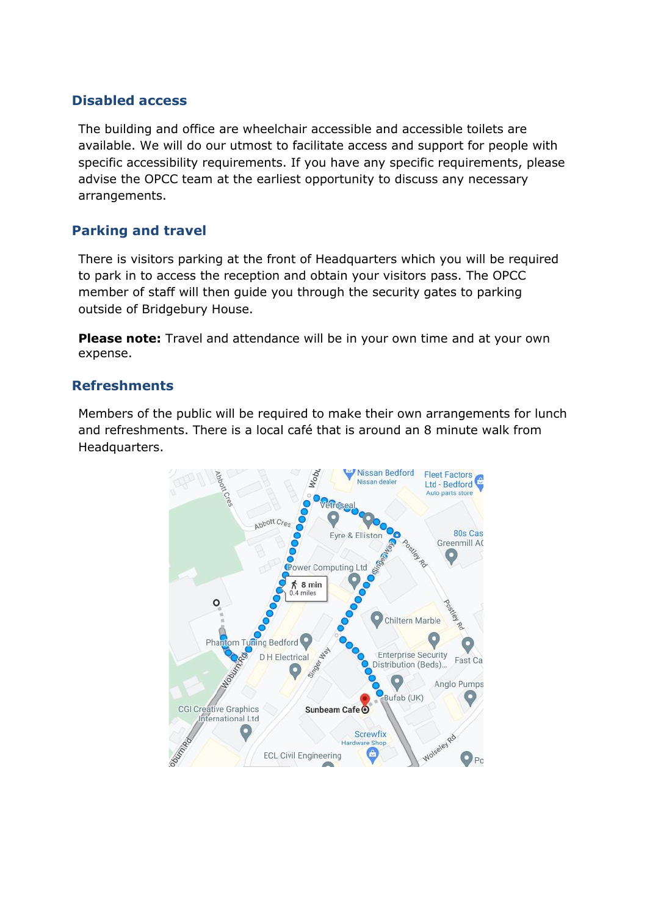### **Disabled access**

The building and office are wheelchair accessible and accessible toilets are available. We will do our utmost to facilitate access and support for people with specific accessibility requirements. If you have any specific requirements, please advise the OPCC team at the earliest opportunity to discuss any necessary arrangements.

### **Parking and travel**

There is visitors parking at the front of Headquarters which you will be required to park in to access the reception and obtain your visitors pass. The OPCC member of staff will then guide you through the security gates to parking outside of Bridgebury House.

**Please note:** Travel and attendance will be in your own time and at your own expense.

### **Refreshments**

Members of the public will be required to make their own arrangements for lunch and refreshments. There is a local café that is around an 8 minute walk from Headquarters.